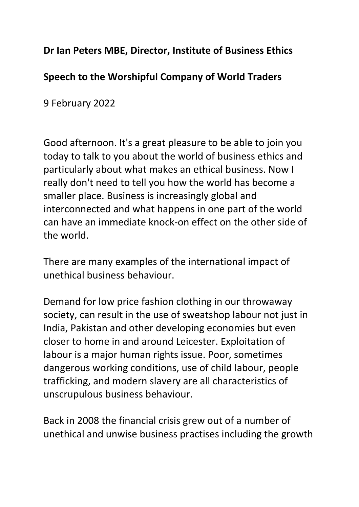## **Dr Ian Peters MBE, Director, Institute of Business Ethics**

## **Speech to the Worshipful Company of World Traders**

9 February 2022

Good afternoon. It's a great pleasure to be able to join you today to talk to you about the world of business ethics and particularly about what makes an ethical business. Now I really don't need to tell you how the world has become a smaller place. Business is increasingly global and interconnected and what happens in one part of the world can have an immediate knock-on effect on the other side of the world.

There are many examples of the international impact of unethical business behaviour.

Demand for low price fashion clothing in our throwaway society, can result in the use of sweatshop labour not just in India, Pakistan and other developing economies but even closer to home in and around Leicester. Exploitation of labour is a major human rights issue. Poor, sometimes dangerous working conditions, use of child labour, people trafficking, and modern slavery are all characteristics of unscrupulous business behaviour.

Back in 2008 the financial crisis grew out of a number of unethical and unwise business practises including the growth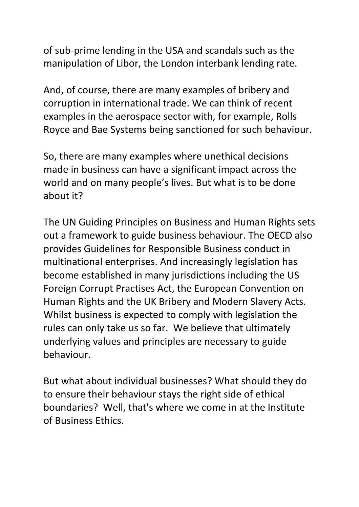of sub-prime lending in the USA and scandals such as the manipulation of Libor, the London interbank lending rate.

And, of course, there are many examples of bribery and corruption in international trade. We can think of recent examples in the aerospace sector with, for example, Rolls Royce and Bae Systems being sanctioned for such behaviour.

So, there are many examples where unethical decisions made in business can have a significant impact across the world and on many people's lives. But what is to be done about it?

The UN Guiding Principles on Business and Human Rights sets out a framework to guide business behaviour. The OECD also provides Guidelines for Responsible Business conduct in multinational enterprises. And increasingly legislation has become established in many jurisdictions including the US Foreign Corrupt Practises Act, the European Convention on Human Rights and the UK Bribery and Modern Slavery Acts. Whilst business is expected to comply with legislation the rules can only take us so far. We believe that ultimately underlying values and principles are necessary to guide behaviour.

But what about individual businesses? What should they do to ensure their behaviour stays the right side of ethical boundaries? Well, that's where we come in at the Institute of Business Ethics.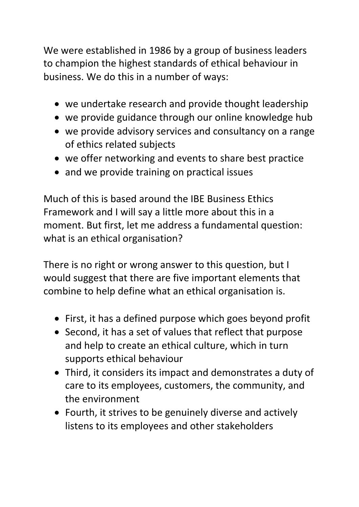We were established in 1986 by a group of business leaders to champion the highest standards of ethical behaviour in business. We do this in a number of ways:

- we undertake research and provide thought leadership
- we provide guidance through our online knowledge hub
- we provide advisory services and consultancy on a range of ethics related subjects
- we offer networking and events to share best practice
- and we provide training on practical issues

Much of this is based around the IBE Business Ethics Framework and I will say a little more about this in a moment. But first, let me address a fundamental question: what is an ethical organisation?

There is no right or wrong answer to this question, but I would suggest that there are five important elements that combine to help define what an ethical organisation is.

- First, it has a defined purpose which goes beyond profit
- Second, it has a set of values that reflect that purpose and help to create an ethical culture, which in turn supports ethical behaviour
- Third, it considers its impact and demonstrates a duty of care to its employees, customers, the community, and the environment
- Fourth, it strives to be genuinely diverse and actively listens to its employees and other stakeholders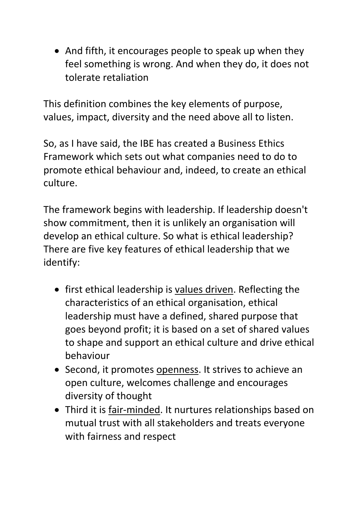• And fifth, it encourages people to speak up when they feel something is wrong. And when they do, it does not tolerate retaliation

This definition combines the key elements of purpose, values, impact, diversity and the need above all to listen.

So, as I have said, the IBE has created a Business Ethics Framework which sets out what companies need to do to promote ethical behaviour and, indeed, to create an ethical culture.

The framework begins with leadership. If leadership doesn't show commitment, then it is unlikely an organisation will develop an ethical culture. So what is ethical leadership? There are five key features of ethical leadership that we identify:

- first ethical leadership is values driven. Reflecting the characteristics of an ethical organisation, ethical leadership must have a defined, shared purpose that goes beyond profit; it is based on a set of shared values to shape and support an ethical culture and drive ethical behaviour
- Second, it promotes openness. It strives to achieve an open culture, welcomes challenge and encourages diversity of thought
- Third it is fair-minded. It nurtures relationships based on mutual trust with all stakeholders and treats everyone with fairness and respect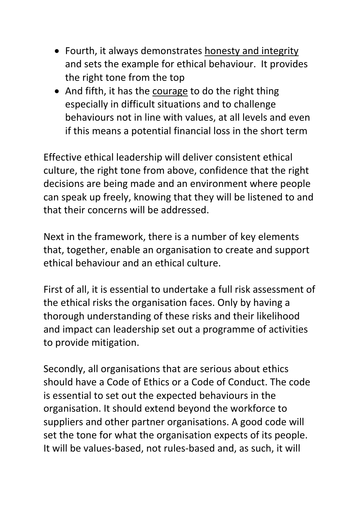- Fourth, it always demonstrates honesty and integrity and sets the example for ethical behaviour. It provides the right tone from the top
- And fifth, it has the courage to do the right thing especially in difficult situations and to challenge behaviours not in line with values, at all levels and even if this means a potential financial loss in the short term

Effective ethical leadership will deliver consistent ethical culture, the right tone from above, confidence that the right decisions are being made and an environment where people can speak up freely, knowing that they will be listened to and that their concerns will be addressed.

Next in the framework, there is a number of key elements that, together, enable an organisation to create and support ethical behaviour and an ethical culture.

First of all, it is essential to undertake a full risk assessment of the ethical risks the organisation faces. Only by having a thorough understanding of these risks and their likelihood and impact can leadership set out a programme of activities to provide mitigation.

Secondly, all organisations that are serious about ethics should have a Code of Ethics or a Code of Conduct. The code is essential to set out the expected behaviours in the organisation. It should extend beyond the workforce to suppliers and other partner organisations. A good code will set the tone for what the organisation expects of its people. It will be values-based, not rules-based and, as such, it will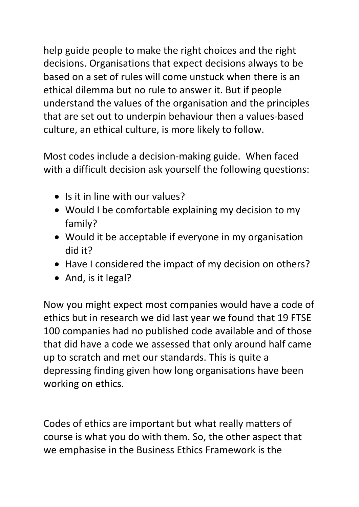help guide people to make the right choices and the right decisions. Organisations that expect decisions always to be based on a set of rules will come unstuck when there is an ethical dilemma but no rule to answer it. But if people understand the values of the organisation and the principles that are set out to underpin behaviour then a values-based culture, an ethical culture, is more likely to follow.

Most codes include a decision-making guide. When faced with a difficult decision ask yourself the following questions:

- Is it in line with our values?
- Would I be comfortable explaining my decision to my family?
- Would it be acceptable if everyone in my organisation did it?
- Have I considered the impact of my decision on others?
- And, is it legal?

Now you might expect most companies would have a code of ethics but in research we did last year we found that 19 FTSE 100 companies had no published code available and of those that did have a code we assessed that only around half came up to scratch and met our standards. This is quite a depressing finding given how long organisations have been working on ethics.

Codes of ethics are important but what really matters of course is what you do with them. So, the other aspect that we emphasise in the Business Ethics Framework is the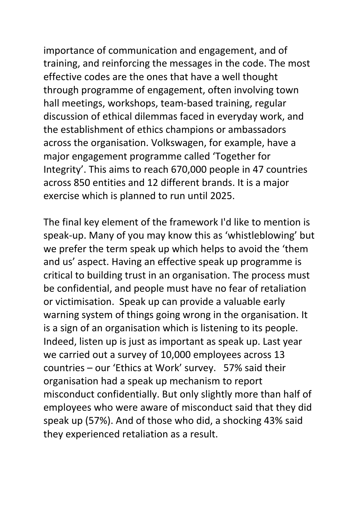importance of communication and engagement, and of training, and reinforcing the messages in the code. The most effective codes are the ones that have a well thought through programme of engagement, often involving town hall meetings, workshops, team-based training, regular discussion of ethical dilemmas faced in everyday work, and the establishment of ethics champions or ambassadors across the organisation. Volkswagen, for example, have a major engagement programme called 'Together for Integrity'. This aims to reach 670,000 people in 47 countries across 850 entities and 12 different brands. It is a major exercise which is planned to run until 2025.

The final key element of the framework I'd like to mention is speak-up. Many of you may know this as 'whistleblowing' but we prefer the term speak up which helps to avoid the 'them and us' aspect. Having an effective speak up programme is critical to building trust in an organisation. The process must be confidential, and people must have no fear of retaliation or victimisation. Speak up can provide a valuable early warning system of things going wrong in the organisation. It is a sign of an organisation which is listening to its people. Indeed, listen up is just as important as speak up. Last year we carried out a survey of 10,000 employees across 13 countries – our 'Ethics at Work' survey. 57% said their organisation had a speak up mechanism to report misconduct confidentially. But only slightly more than half of employees who were aware of misconduct said that they did speak up (57%). And of those who did, a shocking 43% said they experienced retaliation as a result.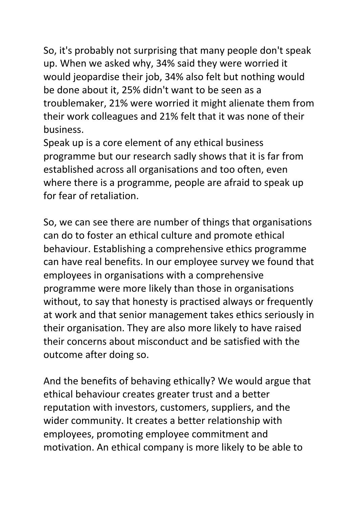So, it's probably not surprising that many people don't speak up. When we asked why, 34% said they were worried it would jeopardise their job, 34% also felt but nothing would be done about it, 25% didn't want to be seen as a troublemaker, 21% were worried it might alienate them from their work colleagues and 21% felt that it was none of their business.

Speak up is a core element of any ethical business programme but our research sadly shows that it is far from established across all organisations and too often, even where there is a programme, people are afraid to speak up for fear of retaliation.

So, we can see there are number of things that organisations can do to foster an ethical culture and promote ethical behaviour. Establishing a comprehensive ethics programme can have real benefits. In our employee survey we found that employees in organisations with a comprehensive programme were more likely than those in organisations without, to say that honesty is practised always or frequently at work and that senior management takes ethics seriously in their organisation. They are also more likely to have raised their concerns about misconduct and be satisfied with the outcome after doing so.

And the benefits of behaving ethically? We would argue that ethical behaviour creates greater trust and a better reputation with investors, customers, suppliers, and the wider community. It creates a better relationship with employees, promoting employee commitment and motivation. An ethical company is more likely to be able to